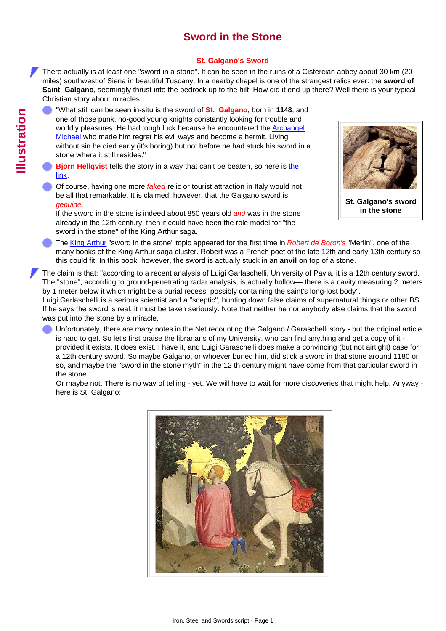## **Sword in the Stone**

## **St. Galgano's Sword**

There actually is at least one "sword in a stone". It can be seen in the ruins of a Cistercian abbey about 30 km (20 miles) southwest of Siena in beautiful Tuscany. In a nearby chapel is one of the strangest relics ever: the **sword of Saint Galgano**, seemingly thrust into the bedrock up to the hilt. How did it end up there? Well there is your typical Christian story about miracles:

- "What still can be seen in-situ is the sword of **St. Galgano**, born in **1148**, and one of those punk, no-good young knights constantly looking for trouble and worldly pleasures. He had tough luck because he encountered the [Archangel](http://www.tf.uni-kiel.de/matwis/amat/iss_dec_15_2021/kap_2/advanced/a2_1_1.html#_10) [Michael](http://www.tf.uni-kiel.de/matwis/amat/iss_dec_15_2021/kap_2/advanced/a2_1_1.html#_10) who made him regret his evil ways and become a hermit. Living without sin he died early (it's boring) but not before he had stuck his sword in a stone where it still resides."
- **Björn Hellqvist** tells [the](http://www.tf.uni-kiel.de/matwis/amat/iss_dec_15_2021/kap_2/articles/sword_in_stone_galgano.pdf) story in a way that can't be beaten, so here is the [link.](http://www.tf.uni-kiel.de/matwis/amat/iss_dec_15_2021/kap_2/articles/sword_in_stone_galgano.pdf)
- Of course, having one more *faked* relic or tourist attraction in Italy would not be all that remarkable. It is claimed, however, that the Galgano sword is *genuine*.

If the sword in the stone is indeed about 850 years old *and* was in the stone already in the 12th century, then it could have been the role model for "the sword in the stone" of the King Arthur saga.



**St. Galgano's sword in the stone**

The [King Arthur](http://www.tf.uni-kiel.de/matwis/amat/iss_dec_15_2021/kap_2/advanced/t2_1_2.html#!kingn arthur) "sword in the stone" topic appeared for the first time in *Robert de Boron's* "Merlin", one of the many books of the King Arthur saga cluster. Robert was a French poet of the late 12th and early 13th century so this could fit. In this book, however, the sword is actually stuck in an **anvil** on top of a stone.

The claim is that: "according to a recent analysis of Luigi Garlaschelli, University of Pavia, it is a 12th century sword. The "stone", according to ground-penetrating radar analysis, is actually hollow— there is a cavity measuring 2 meters by 1 meter below it which might be a burial recess, possibly containing the saint's long-lost body".

Luigi Garlaschelli is a serious scientist and a "sceptic", hunting down false claims of supernatural things or other BS. If he says the sword is real, it must be taken seriously. Note that neither he nor anybody else claims that the sword was put into the stone by a miracle.

Unfortunately, there are many notes in the Net recounting the Galgano / Garaschelli story - but the original article is hard to get. So let's first praise the librarians of my University, who can find anything and get a copy of it provided it exists. It does exist. I have it, and Luigi Garaschelli does make a convincing (but not airtight) case for a 12th century sword. So maybe Galgano, or whoever buried him, did stick a sword in that stone around 1180 or so, and maybe the "sword in the stone myth" in the 12 th century might have come from that particular sword in the stone.

Or maybe not. There is no way of telling - yet. We will have to wait for more discoveries that might help. Anyway here is St. Galgano: